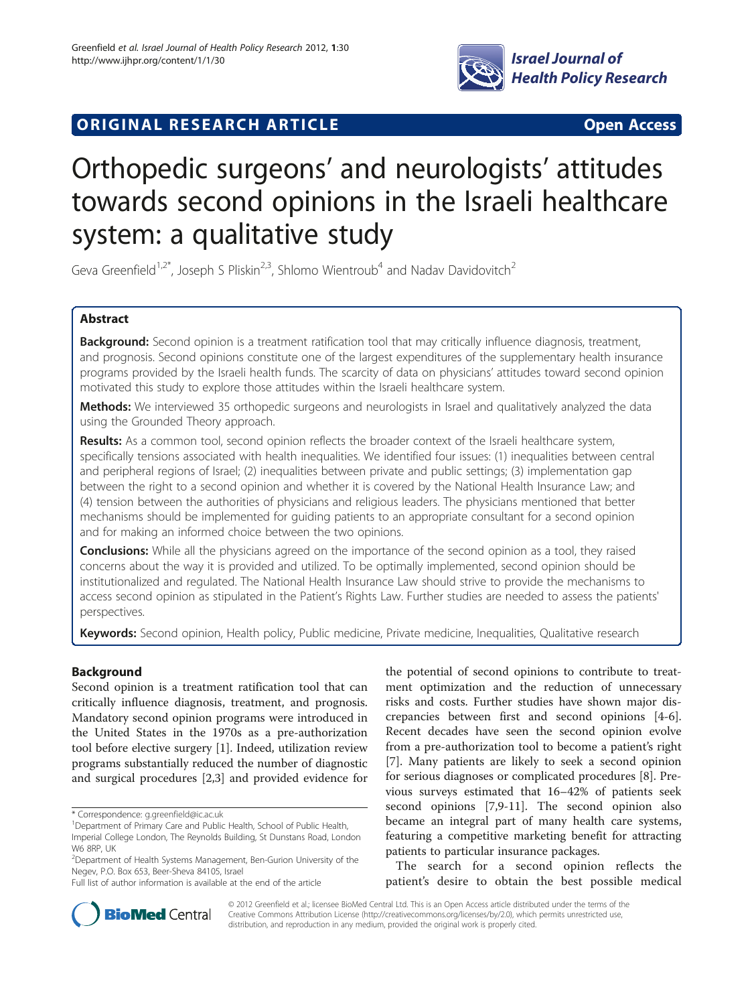

## ORIGINAL RESEARCH ARTICLE **External in the Second Access**

# Orthopedic surgeons' and neurologists' attitudes towards second opinions in the Israeli healthcare system: a qualitative study

Geva Greenfield<sup>1,2\*</sup>, Joseph S Pliskin<sup>2,3</sup>, Shlomo Wientroub<sup>4</sup> and Nadav Davidovitch<sup>2</sup>

## Abstract

Background: Second opinion is a treatment ratification tool that may critically influence diagnosis, treatment, and prognosis. Second opinions constitute one of the largest expenditures of the supplementary health insurance programs provided by the Israeli health funds. The scarcity of data on physicians' attitudes toward second opinion motivated this study to explore those attitudes within the Israeli healthcare system.

Methods: We interviewed 35 orthopedic surgeons and neurologists in Israel and qualitatively analyzed the data using the Grounded Theory approach.

Results: As a common tool, second opinion reflects the broader context of the Israeli healthcare system, specifically tensions associated with health inequalities. We identified four issues: (1) inequalities between central and peripheral regions of Israel; (2) inequalities between private and public settings; (3) implementation gap between the right to a second opinion and whether it is covered by the National Health Insurance Law; and (4) tension between the authorities of physicians and religious leaders. The physicians mentioned that better mechanisms should be implemented for guiding patients to an appropriate consultant for a second opinion and for making an informed choice between the two opinions.

**Conclusions:** While all the physicians agreed on the importance of the second opinion as a tool, they raised concerns about the way it is provided and utilized. To be optimally implemented, second opinion should be institutionalized and regulated. The National Health Insurance Law should strive to provide the mechanisms to access second opinion as stipulated in the Patient's Rights Law. Further studies are needed to assess the patients' perspectives.

Keywords: Second opinion, Health policy, Public medicine, Private medicine, Inequalities, Qualitative research

## Background

Second opinion is a treatment ratification tool that can critically influence diagnosis, treatment, and prognosis. Mandatory second opinion programs were introduced in the United States in the 1970s as a pre-authorization tool before elective surgery [[1\]](#page-11-0). Indeed, utilization review programs substantially reduced the number of diagnostic and surgical procedures [[2,3\]](#page-11-0) and provided evidence for

the potential of second opinions to contribute to treatment optimization and the reduction of unnecessary risks and costs. Further studies have shown major discrepancies between first and second opinions [[4-6](#page-11-0)]. Recent decades have seen the second opinion evolve from a pre-authorization tool to become a patient's right [[7\]](#page-11-0). Many patients are likely to seek a second opinion for serious diagnoses or complicated procedures [\[8](#page-11-0)]. Previous surveys estimated that 16–42% of patients seek second opinions [\[7,9](#page-11-0)-[11\]](#page-11-0). The second opinion also became an integral part of many health care systems, featuring a competitive marketing benefit for attracting patients to particular insurance packages.

The search for a second opinion reflects the patient's desire to obtain the best possible medical



© 2012 Greenfield et al.; licensee BioMed Central Ltd. This is an Open Access article distributed under the terms of the Creative Commons Attribution License (<http://creativecommons.org/licenses/by/2.0>), which permits unrestricted use, distribution, and reproduction in any medium, provided the original work is properly cited.

<sup>\*</sup> Correspondence: [g.greenfield@ic.ac.uk](mailto:g.greenfield@ic.ac.uk) <sup>1</sup>

<sup>&</sup>lt;sup>1</sup>Department of Primary Care and Public Health, School of Public Health, Imperial College London, The Reynolds Building, St Dunstans Road, London

W6 8RP, UK <sup>2</sup>Department of Health Systems Management, Ben-Gurion University of the Negev, P.O. Box 653, Beer-Sheva 84105, Israel

Full list of author information is available at the end of the article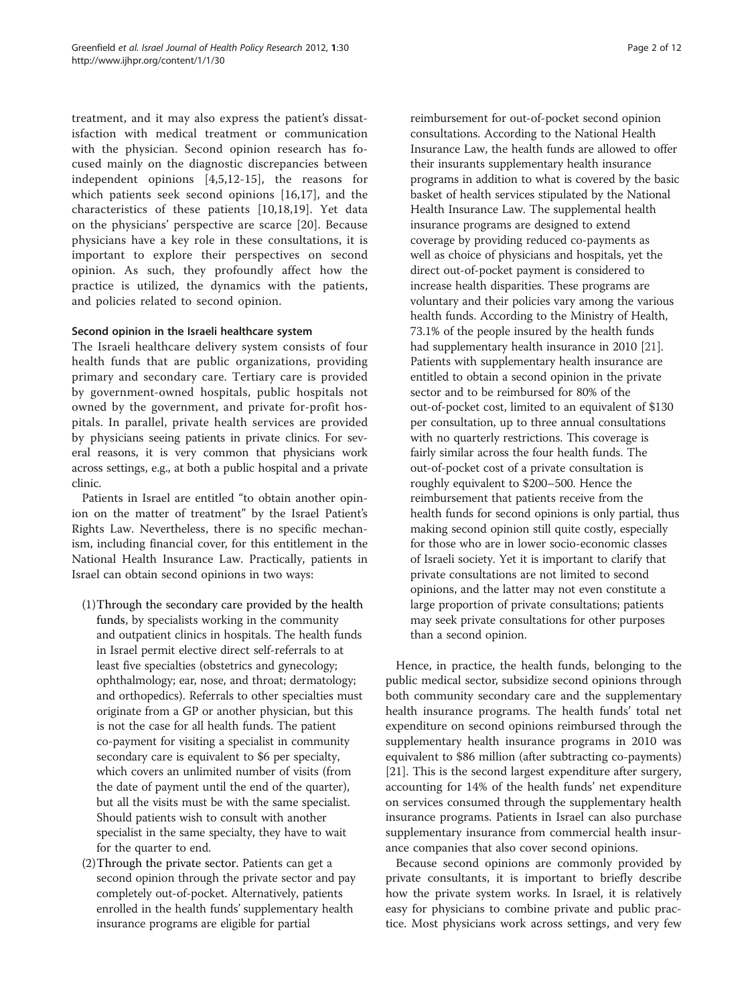treatment, and it may also express the patient's dissatisfaction with medical treatment or communication with the physician. Second opinion research has focused mainly on the diagnostic discrepancies between independent opinions [[4,5](#page-11-0),[12-15](#page-11-0)], the reasons for which patients seek second opinions [[16,17](#page-11-0)], and the characteristics of these patients [[10,18,19](#page-11-0)]. Yet data on the physicians' perspective are scarce [[20\]](#page-11-0). Because physicians have a key role in these consultations, it is important to explore their perspectives on second opinion. As such, they profoundly affect how the practice is utilized, the dynamics with the patients, and policies related to second opinion.

## Second opinion in the Israeli healthcare system

The Israeli healthcare delivery system consists of four health funds that are public organizations, providing primary and secondary care. Tertiary care is provided by government-owned hospitals, public hospitals not owned by the government, and private for-profit hospitals. In parallel, private health services are provided by physicians seeing patients in private clinics. For several reasons, it is very common that physicians work across settings, e.g., at both a public hospital and a private clinic.

Patients in Israel are entitled "to obtain another opinion on the matter of treatment" by the Israel Patient's Rights Law. Nevertheless, there is no specific mechanism, including financial cover, for this entitlement in the National Health Insurance Law. Practically, patients in Israel can obtain second opinions in two ways:

- (1)Through the secondary care provided by the health funds, by specialists working in the community and outpatient clinics in hospitals. The health funds in Israel permit elective direct self-referrals to at least five specialties (obstetrics and gynecology; ophthalmology; ear, nose, and throat; dermatology; and orthopedics). Referrals to other specialties must originate from a GP or another physician, but this is not the case for all health funds. The patient co-payment for visiting a specialist in community secondary care is equivalent to \$6 per specialty, which covers an unlimited number of visits (from the date of payment until the end of the quarter), but all the visits must be with the same specialist. Should patients wish to consult with another specialist in the same specialty, they have to wait for the quarter to end.
- (2)Through the private sector. Patients can get a second opinion through the private sector and pay completely out-of-pocket. Alternatively, patients enrolled in the health funds' supplementary health insurance programs are eligible for partial

reimbursement for out-of-pocket second opinion consultations. According to the National Health Insurance Law, the health funds are allowed to offer their insurants supplementary health insurance programs in addition to what is covered by the basic basket of health services stipulated by the National Health Insurance Law. The supplemental health insurance programs are designed to extend coverage by providing reduced co-payments as well as choice of physicians and hospitals, yet the direct out-of-pocket payment is considered to increase health disparities. These programs are voluntary and their policies vary among the various health funds. According to the Ministry of Health, 73.1% of the people insured by the health funds had supplementary health insurance in 2010 [\[21](#page-11-0)]. Patients with supplementary health insurance are entitled to obtain a second opinion in the private sector and to be reimbursed for 80% of the out-of-pocket cost, limited to an equivalent of \$130 per consultation, up to three annual consultations with no quarterly restrictions. This coverage is fairly similar across the four health funds. The out-of-pocket cost of a private consultation is roughly equivalent to \$200–500. Hence the reimbursement that patients receive from the health funds for second opinions is only partial, thus making second opinion still quite costly, especially for those who are in lower socio-economic classes of Israeli society. Yet it is important to clarify that private consultations are not limited to second opinions, and the latter may not even constitute a large proportion of private consultations; patients may seek private consultations for other purposes than a second opinion.

Hence, in practice, the health funds, belonging to the public medical sector, subsidize second opinions through both community secondary care and the supplementary health insurance programs. The health funds' total net expenditure on second opinions reimbursed through the supplementary health insurance programs in 2010 was equivalent to \$86 million (after subtracting co-payments) [[21\]](#page-11-0). This is the second largest expenditure after surgery, accounting for 14% of the health funds' net expenditure on services consumed through the supplementary health insurance programs. Patients in Israel can also purchase supplementary insurance from commercial health insurance companies that also cover second opinions.

Because second opinions are commonly provided by private consultants, it is important to briefly describe how the private system works. In Israel, it is relatively easy for physicians to combine private and public practice. Most physicians work across settings, and very few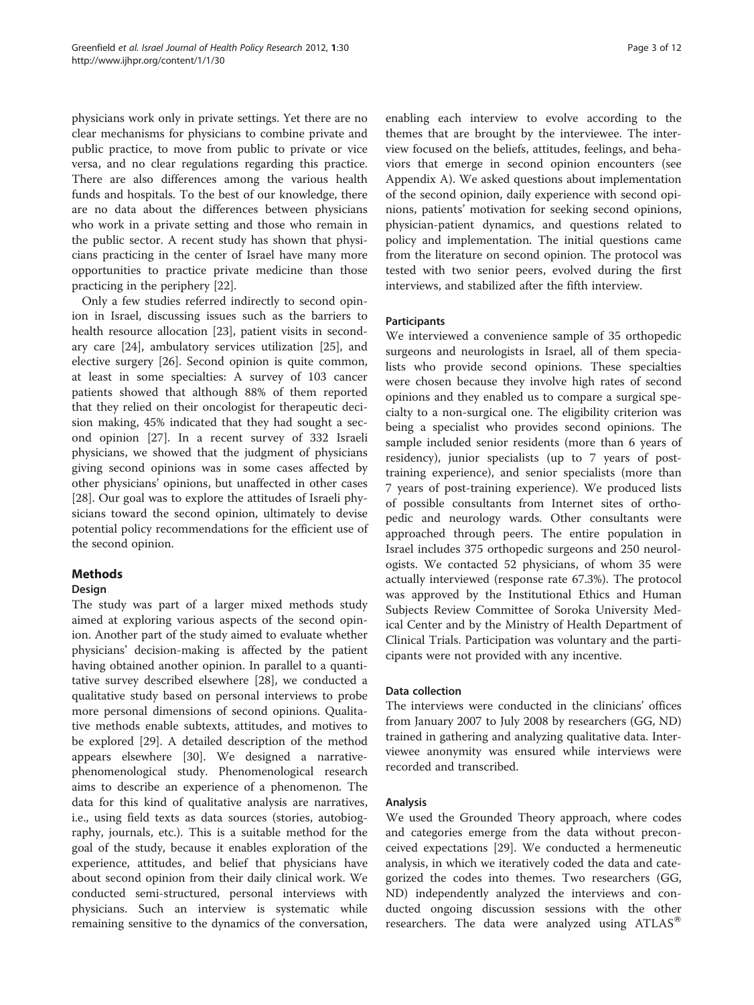physicians work only in private settings. Yet there are no clear mechanisms for physicians to combine private and public practice, to move from public to private or vice versa, and no clear regulations regarding this practice. There are also differences among the various health funds and hospitals. To the best of our knowledge, there are no data about the differences between physicians who work in a private setting and those who remain in the public sector. A recent study has shown that physicians practicing in the center of Israel have many more opportunities to practice private medicine than those practicing in the periphery [[22\]](#page-11-0).

Only a few studies referred indirectly to second opinion in Israel, discussing issues such as the barriers to health resource allocation [\[23\]](#page-11-0), patient visits in secondary care [[24\]](#page-11-0), ambulatory services utilization [[25](#page-11-0)], and elective surgery [\[26](#page-11-0)]. Second opinion is quite common, at least in some specialties: A survey of 103 cancer patients showed that although 88% of them reported that they relied on their oncologist for therapeutic decision making, 45% indicated that they had sought a second opinion [\[27](#page-11-0)]. In a recent survey of 332 Israeli physicians, we showed that the judgment of physicians giving second opinions was in some cases affected by other physicians' opinions, but unaffected in other cases [[28\]](#page-11-0). Our goal was to explore the attitudes of Israeli physicians toward the second opinion, ultimately to devise potential policy recommendations for the efficient use of the second opinion.

## Methods

## Design

The study was part of a larger mixed methods study aimed at exploring various aspects of the second opinion. Another part of the study aimed to evaluate whether physicians' decision-making is affected by the patient having obtained another opinion. In parallel to a quantitative survey described elsewhere [\[28\]](#page-11-0), we conducted a qualitative study based on personal interviews to probe more personal dimensions of second opinions. Qualitative methods enable subtexts, attitudes, and motives to be explored [\[29](#page-11-0)]. A detailed description of the method appears elsewhere [[30](#page-11-0)]. We designed a narrativephenomenological study. Phenomenological research aims to describe an experience of a phenomenon. The data for this kind of qualitative analysis are narratives, i.e., using field texts as data sources (stories, autobiography, journals, etc.). This is a suitable method for the goal of the study, because it enables exploration of the experience, attitudes, and belief that physicians have about second opinion from their daily clinical work. We conducted semi-structured, personal interviews with physicians. Such an interview is systematic while remaining sensitive to the dynamics of the conversation,

enabling each interview to evolve according to the themes that are brought by the interviewee. The interview focused on the beliefs, attitudes, feelings, and behaviors that emerge in second opinion encounters (see Appendix A). We asked questions about implementation of the second opinion, daily experience with second opinions, patients' motivation for seeking second opinions, physician-patient dynamics, and questions related to policy and implementation. The initial questions came from the literature on second opinion. The protocol was tested with two senior peers, evolved during the first interviews, and stabilized after the fifth interview.

## **Participants**

We interviewed a convenience sample of 35 orthopedic surgeons and neurologists in Israel, all of them specialists who provide second opinions. These specialties were chosen because they involve high rates of second opinions and they enabled us to compare a surgical specialty to a non-surgical one. The eligibility criterion was being a specialist who provides second opinions. The sample included senior residents (more than 6 years of residency), junior specialists (up to 7 years of posttraining experience), and senior specialists (more than 7 years of post-training experience). We produced lists of possible consultants from Internet sites of orthopedic and neurology wards. Other consultants were approached through peers. The entire population in Israel includes 375 orthopedic surgeons and 250 neurologists. We contacted 52 physicians, of whom 35 were actually interviewed (response rate 67.3%). The protocol was approved by the Institutional Ethics and Human Subjects Review Committee of Soroka University Medical Center and by the Ministry of Health Department of Clinical Trials. Participation was voluntary and the participants were not provided with any incentive.

## Data collection

The interviews were conducted in the clinicians' offices from January 2007 to July 2008 by researchers (GG, ND) trained in gathering and analyzing qualitative data. Interviewee anonymity was ensured while interviews were recorded and transcribed.

## Analysis

We used the Grounded Theory approach, where codes and categories emerge from the data without preconceived expectations [\[29\]](#page-11-0). We conducted a hermeneutic analysis, in which we iteratively coded the data and categorized the codes into themes. Two researchers (GG, ND) independently analyzed the interviews and conducted ongoing discussion sessions with the other researchers. The data were analyzed using  $ATLAS^{\circledast}$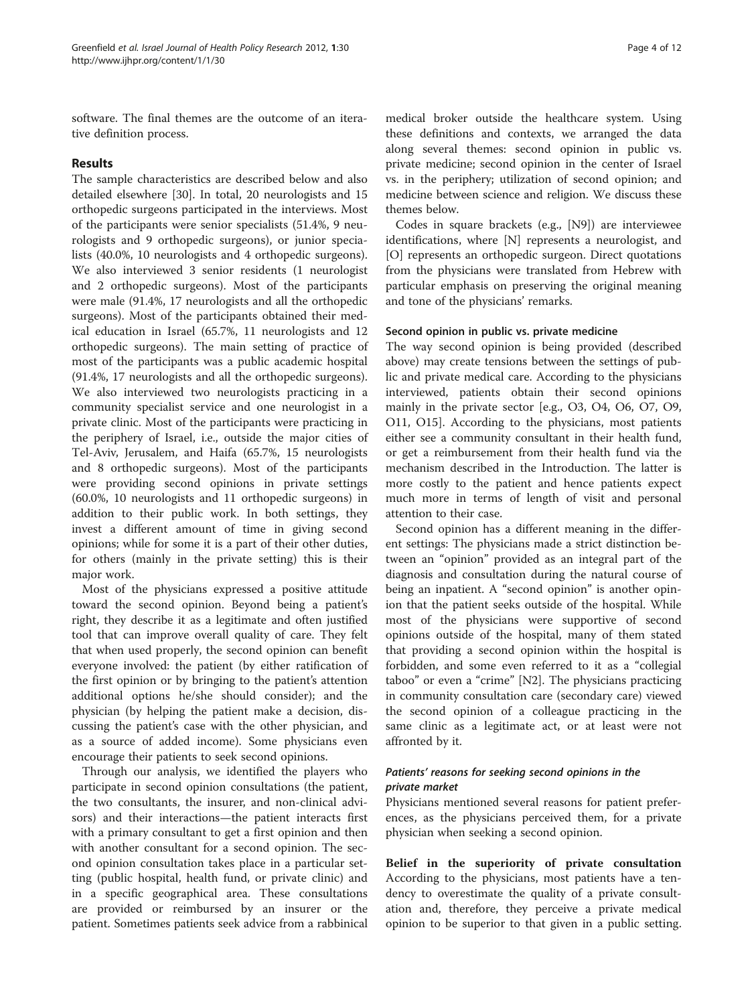software. The final themes are the outcome of an iterative definition process.

## Results

The sample characteristics are described below and also detailed elsewhere [\[30\]](#page-11-0). In total, 20 neurologists and 15 orthopedic surgeons participated in the interviews. Most of the participants were senior specialists (51.4%, 9 neurologists and 9 orthopedic surgeons), or junior specialists (40.0%, 10 neurologists and 4 orthopedic surgeons). We also interviewed 3 senior residents (1 neurologist and 2 orthopedic surgeons). Most of the participants were male (91.4%, 17 neurologists and all the orthopedic surgeons). Most of the participants obtained their medical education in Israel (65.7%, 11 neurologists and 12 orthopedic surgeons). The main setting of practice of most of the participants was a public academic hospital (91.4%, 17 neurologists and all the orthopedic surgeons). We also interviewed two neurologists practicing in a community specialist service and one neurologist in a private clinic. Most of the participants were practicing in the periphery of Israel, i.e., outside the major cities of Tel-Aviv, Jerusalem, and Haifa (65.7%, 15 neurologists and 8 orthopedic surgeons). Most of the participants were providing second opinions in private settings (60.0%, 10 neurologists and 11 orthopedic surgeons) in addition to their public work. In both settings, they invest a different amount of time in giving second opinions; while for some it is a part of their other duties, for others (mainly in the private setting) this is their major work.

Most of the physicians expressed a positive attitude toward the second opinion. Beyond being a patient's right, they describe it as a legitimate and often justified tool that can improve overall quality of care. They felt that when used properly, the second opinion can benefit everyone involved: the patient (by either ratification of the first opinion or by bringing to the patient's attention additional options he/she should consider); and the physician (by helping the patient make a decision, discussing the patient's case with the other physician, and as a source of added income). Some physicians even encourage their patients to seek second opinions.

Through our analysis, we identified the players who participate in second opinion consultations (the patient, the two consultants, the insurer, and non-clinical advisors) and their interactions—the patient interacts first with a primary consultant to get a first opinion and then with another consultant for a second opinion. The second opinion consultation takes place in a particular setting (public hospital, health fund, or private clinic) and in a specific geographical area. These consultations are provided or reimbursed by an insurer or the patient. Sometimes patients seek advice from a rabbinical medical broker outside the healthcare system. Using these definitions and contexts, we arranged the data along several themes: second opinion in public vs. private medicine; second opinion in the center of Israel vs. in the periphery; utilization of second opinion; and medicine between science and religion. We discuss these themes below.

Codes in square brackets (e.g., [N9]) are interviewee identifications, where [N] represents a neurologist, and [O] represents an orthopedic surgeon. Direct quotations from the physicians were translated from Hebrew with particular emphasis on preserving the original meaning and tone of the physicians' remarks.

## Second opinion in public vs. private medicine

The way second opinion is being provided (described above) may create tensions between the settings of public and private medical care. According to the physicians interviewed, patients obtain their second opinions mainly in the private sector [e.g., O3, O4, O6, O7, O9, O11, O15]. According to the physicians, most patients either see a community consultant in their health fund, or get a reimbursement from their health fund via the mechanism described in the Introduction. The latter is more costly to the patient and hence patients expect much more in terms of length of visit and personal attention to their case.

Second opinion has a different meaning in the different settings: The physicians made a strict distinction between an "opinion" provided as an integral part of the diagnosis and consultation during the natural course of being an inpatient. A "second opinion" is another opinion that the patient seeks outside of the hospital. While most of the physicians were supportive of second opinions outside of the hospital, many of them stated that providing a second opinion within the hospital is forbidden, and some even referred to it as a "collegial taboo" or even a "crime" [N2]. The physicians practicing in community consultation care (secondary care) viewed the second opinion of a colleague practicing in the same clinic as a legitimate act, or at least were not affronted by it.

## Patients' reasons for seeking second opinions in the private market

Physicians mentioned several reasons for patient preferences, as the physicians perceived them, for a private physician when seeking a second opinion.

Belief in the superiority of private consultation According to the physicians, most patients have a tendency to overestimate the quality of a private consultation and, therefore, they perceive a private medical opinion to be superior to that given in a public setting.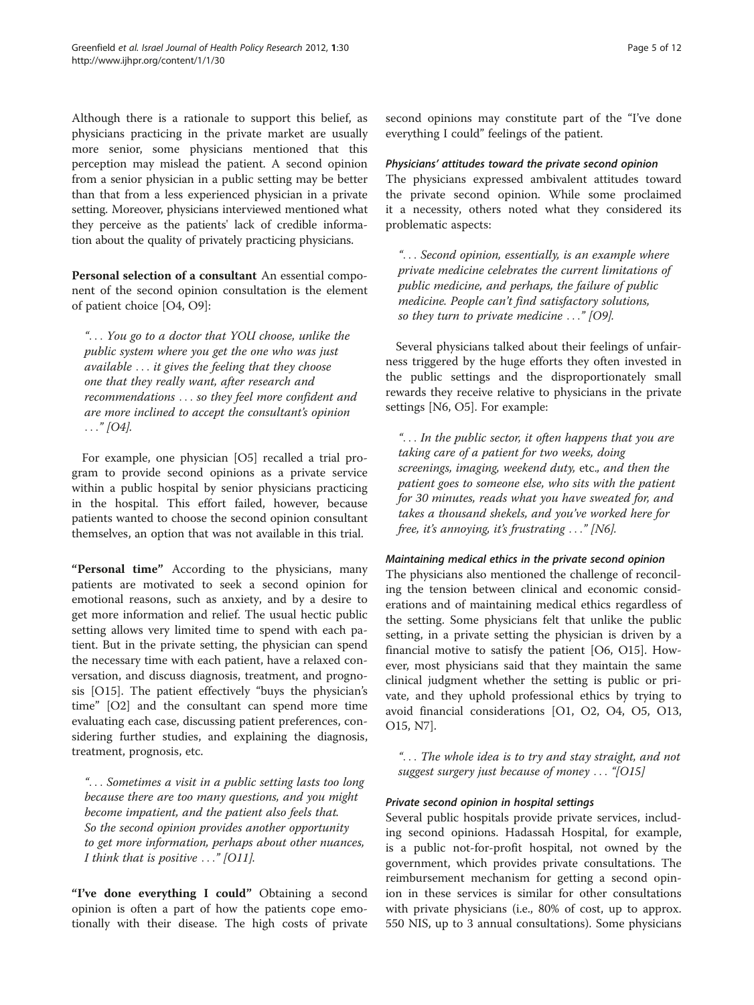Although there is a rationale to support this belief, as physicians practicing in the private market are usually more senior, some physicians mentioned that this perception may mislead the patient. A second opinion from a senior physician in a public setting may be better than that from a less experienced physician in a private setting. Moreover, physicians interviewed mentioned what they perceive as the patients' lack of credible information about the quality of privately practicing physicians.

Personal selection of a consultant An essential component of the second opinion consultation is the element of patient choice [O4, O9]:

"... You go to a doctor that YOU choose, unlike the public system where you get the one who was just available ... it gives the feeling that they choose one that they really want, after research and recommendations ... so they feel more confident and are more inclined to accept the consultant's opinion  $\ldots$ " [O4].

For example, one physician [O5] recalled a trial program to provide second opinions as a private service within a public hospital by senior physicians practicing in the hospital. This effort failed, however, because patients wanted to choose the second opinion consultant themselves, an option that was not available in this trial.

"Personal time" According to the physicians, many patients are motivated to seek a second opinion for emotional reasons, such as anxiety, and by a desire to get more information and relief. The usual hectic public setting allows very limited time to spend with each patient. But in the private setting, the physician can spend the necessary time with each patient, have a relaxed conversation, and discuss diagnosis, treatment, and prognosis [O15]. The patient effectively "buys the physician's time" [O2] and the consultant can spend more time evaluating each case, discussing patient preferences, considering further studies, and explaining the diagnosis, treatment, prognosis, etc.

"... Sometimes a visit in a public setting lasts too long because there are too many questions, and you might become impatient, and the patient also feels that. So the second opinion provides another opportunity to get more information, perhaps about other nuances, I think that is positive ..." [O11].

"I've done everything I could" Obtaining a second opinion is often a part of how the patients cope emotionally with their disease. The high costs of private second opinions may constitute part of the "I've done everything I could" feelings of the patient.

## Physicians' attitudes toward the private second opinion

The physicians expressed ambivalent attitudes toward the private second opinion. While some proclaimed it a necessity, others noted what they considered its problematic aspects:

"... Second opinion, essentially, is an example where private medicine celebrates the current limitations of public medicine, and perhaps, the failure of public medicine. People can't find satisfactory solutions, so they turn to private medicine ..." [O9].

Several physicians talked about their feelings of unfairness triggered by the huge efforts they often invested in the public settings and the disproportionately small rewards they receive relative to physicians in the private settings [N6, O5]. For example:

"... In the public sector, it often happens that you are taking care of a patient for two weeks, doing screenings, imaging, weekend duty, etc., and then the patient goes to someone else, who sits with the patient for 30 minutes, reads what you have sweated for, and takes a thousand shekels, and you've worked here for free, it's annoying, it's frustrating ..." [N6].

#### Maintaining medical ethics in the private second opinion

The physicians also mentioned the challenge of reconciling the tension between clinical and economic considerations and of maintaining medical ethics regardless of the setting. Some physicians felt that unlike the public setting, in a private setting the physician is driven by a financial motive to satisfy the patient [O6, O15]. However, most physicians said that they maintain the same clinical judgment whether the setting is public or private, and they uphold professional ethics by trying to avoid financial considerations [O1, O2, O4, O5, O13, O15, N7].

"... The whole idea is to try and stay straight, and not suggest surgery just because of money ... "[O15]

#### Private second opinion in hospital settings

Several public hospitals provide private services, including second opinions. Hadassah Hospital, for example, is a public not-for-profit hospital, not owned by the government, which provides private consultations. The reimbursement mechanism for getting a second opinion in these services is similar for other consultations with private physicians (i.e., 80% of cost, up to approx. 550 NIS, up to 3 annual consultations). Some physicians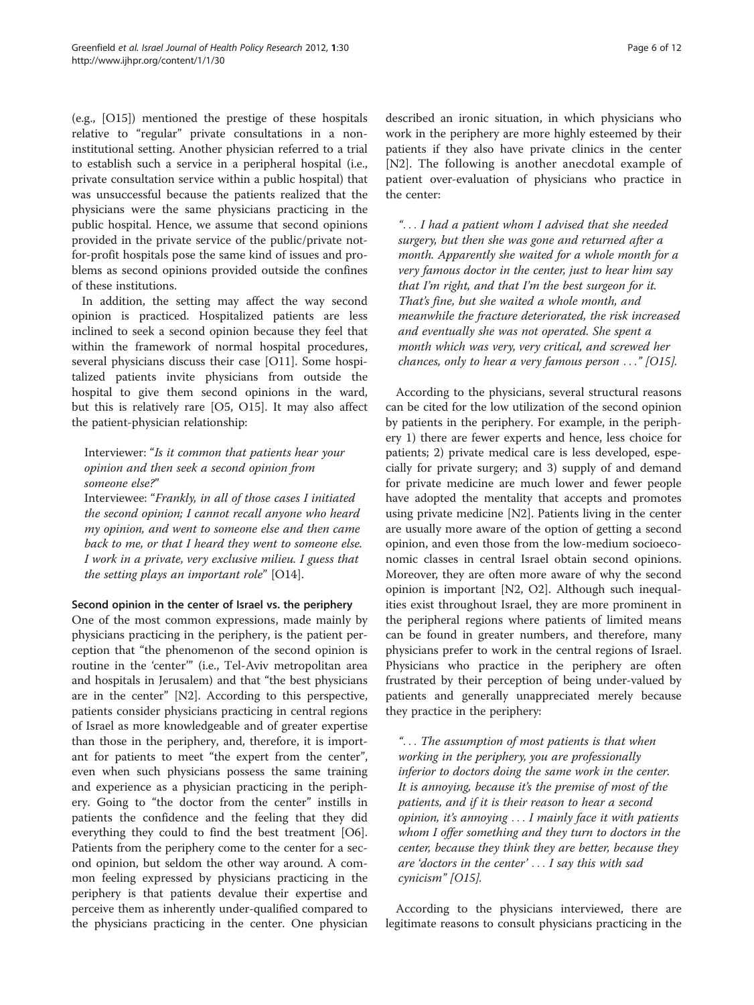(e.g., [O15]) mentioned the prestige of these hospitals relative to "regular" private consultations in a noninstitutional setting. Another physician referred to a trial to establish such a service in a peripheral hospital (i.e., private consultation service within a public hospital) that was unsuccessful because the patients realized that the physicians were the same physicians practicing in the public hospital. Hence, we assume that second opinions provided in the private service of the public/private notfor-profit hospitals pose the same kind of issues and problems as second opinions provided outside the confines of these institutions.

In addition, the setting may affect the way second opinion is practiced. Hospitalized patients are less inclined to seek a second opinion because they feel that within the framework of normal hospital procedures, several physicians discuss their case [O11]. Some hospitalized patients invite physicians from outside the hospital to give them second opinions in the ward, but this is relatively rare [O5, O15]. It may also affect the patient-physician relationship:

## Interviewer: "Is it common that patients hear your opinion and then seek a second opinion from someone else?"

Interviewee: "Frankly, in all of those cases I initiated the second opinion; I cannot recall anyone who heard my opinion, and went to someone else and then came back to me, or that I heard they went to someone else. I work in a private, very exclusive milieu. I guess that the setting plays an important role" [O14].

#### Second opinion in the center of Israel vs. the periphery

One of the most common expressions, made mainly by physicians practicing in the periphery, is the patient perception that "the phenomenon of the second opinion is routine in the 'center'" (i.e., Tel-Aviv metropolitan area and hospitals in Jerusalem) and that "the best physicians are in the center" [N2]. According to this perspective, patients consider physicians practicing in central regions of Israel as more knowledgeable and of greater expertise than those in the periphery, and, therefore, it is important for patients to meet "the expert from the center", even when such physicians possess the same training and experience as a physician practicing in the periphery. Going to "the doctor from the center" instills in patients the confidence and the feeling that they did everything they could to find the best treatment [O6]. Patients from the periphery come to the center for a second opinion, but seldom the other way around. A common feeling expressed by physicians practicing in the periphery is that patients devalue their expertise and perceive them as inherently under-qualified compared to the physicians practicing in the center. One physician described an ironic situation, in which physicians who work in the periphery are more highly esteemed by their patients if they also have private clinics in the center [N2]. The following is another anecdotal example of patient over-evaluation of physicians who practice in the center:

"... I had a patient whom I advised that she needed surgery, but then she was gone and returned after a month. Apparently she waited for a whole month for a very famous doctor in the center, just to hear him say that I'm right, and that I'm the best surgeon for it. That's fine, but she waited a whole month, and meanwhile the fracture deteriorated, the risk increased and eventually she was not operated. She spent a month which was very, very critical, and screwed her chances, only to hear a very famous person  $\ldots$ " [O15].

According to the physicians, several structural reasons can be cited for the low utilization of the second opinion by patients in the periphery. For example, in the periphery 1) there are fewer experts and hence, less choice for patients; 2) private medical care is less developed, especially for private surgery; and 3) supply of and demand for private medicine are much lower and fewer people have adopted the mentality that accepts and promotes using private medicine [N2]. Patients living in the center are usually more aware of the option of getting a second opinion, and even those from the low-medium socioeconomic classes in central Israel obtain second opinions. Moreover, they are often more aware of why the second opinion is important [N2, O2]. Although such inequalities exist throughout Israel, they are more prominent in the peripheral regions where patients of limited means can be found in greater numbers, and therefore, many physicians prefer to work in the central regions of Israel. Physicians who practice in the periphery are often frustrated by their perception of being under-valued by patients and generally unappreciated merely because they practice in the periphery:

"... The assumption of most patients is that when working in the periphery, you are professionally inferior to doctors doing the same work in the center. It is annoying, because it's the premise of most of the patients, and if it is their reason to hear a second opinion, it's annoying ... I mainly face it with patients whom I offer something and they turn to doctors in the center, because they think they are better, because they are 'doctors in the center' ... I say this with sad cynicism" [O15].

According to the physicians interviewed, there are legitimate reasons to consult physicians practicing in the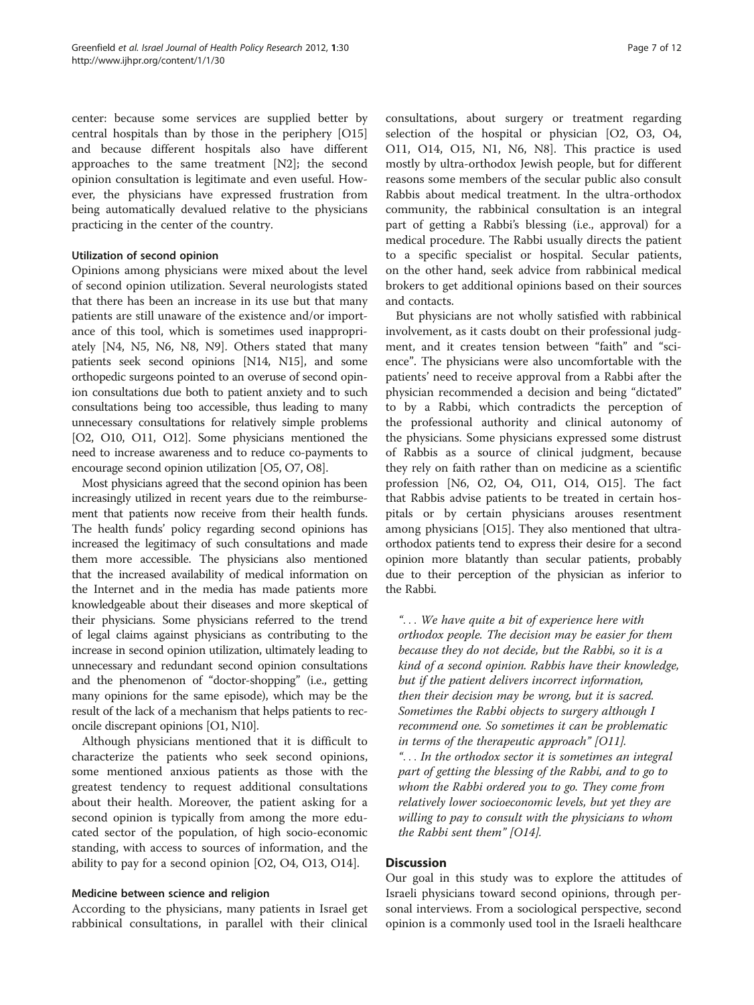center: because some services are supplied better by central hospitals than by those in the periphery [O15] and because different hospitals also have different approaches to the same treatment [N2]; the second opinion consultation is legitimate and even useful. However, the physicians have expressed frustration from being automatically devalued relative to the physicians practicing in the center of the country.

## Utilization of second opinion

Opinions among physicians were mixed about the level of second opinion utilization. Several neurologists stated that there has been an increase in its use but that many patients are still unaware of the existence and/or importance of this tool, which is sometimes used inappropriately [N4, N5, N6, N8, N9]. Others stated that many patients seek second opinions [N14, N15], and some orthopedic surgeons pointed to an overuse of second opinion consultations due both to patient anxiety and to such consultations being too accessible, thus leading to many unnecessary consultations for relatively simple problems [O2, O10, O11, O12]. Some physicians mentioned the need to increase awareness and to reduce co-payments to encourage second opinion utilization [O5, O7, O8].

Most physicians agreed that the second opinion has been increasingly utilized in recent years due to the reimbursement that patients now receive from their health funds. The health funds' policy regarding second opinions has increased the legitimacy of such consultations and made them more accessible. The physicians also mentioned that the increased availability of medical information on the Internet and in the media has made patients more knowledgeable about their diseases and more skeptical of their physicians. Some physicians referred to the trend of legal claims against physicians as contributing to the increase in second opinion utilization, ultimately leading to unnecessary and redundant second opinion consultations and the phenomenon of "doctor-shopping" (i.e., getting many opinions for the same episode), which may be the result of the lack of a mechanism that helps patients to reconcile discrepant opinions [O1, N10].

Although physicians mentioned that it is difficult to characterize the patients who seek second opinions, some mentioned anxious patients as those with the greatest tendency to request additional consultations about their health. Moreover, the patient asking for a second opinion is typically from among the more educated sector of the population, of high socio-economic standing, with access to sources of information, and the ability to pay for a second opinion [O2, O4, O13, O14].

#### Medicine between science and religion

According to the physicians, many patients in Israel get rabbinical consultations, in parallel with their clinical

consultations, about surgery or treatment regarding selection of the hospital or physician [O2, O3, O4, O11, O14, O15, N1, N6, N8]. This practice is used mostly by ultra-orthodox Jewish people, but for different reasons some members of the secular public also consult Rabbis about medical treatment. In the ultra-orthodox community, the rabbinical consultation is an integral part of getting a Rabbi's blessing (i.e., approval) for a medical procedure. The Rabbi usually directs the patient to a specific specialist or hospital. Secular patients, on the other hand, seek advice from rabbinical medical brokers to get additional opinions based on their sources and contacts.

But physicians are not wholly satisfied with rabbinical involvement, as it casts doubt on their professional judgment, and it creates tension between "faith" and "science". The physicians were also uncomfortable with the patients' need to receive approval from a Rabbi after the physician recommended a decision and being "dictated" to by a Rabbi, which contradicts the perception of the professional authority and clinical autonomy of the physicians. Some physicians expressed some distrust of Rabbis as a source of clinical judgment, because they rely on faith rather than on medicine as a scientific profession [N6, O2, O4, O11, O14, O15]. The fact that Rabbis advise patients to be treated in certain hospitals or by certain physicians arouses resentment among physicians [O15]. They also mentioned that ultraorthodox patients tend to express their desire for a second opinion more blatantly than secular patients, probably due to their perception of the physician as inferior to the Rabbi.

"... We have quite a bit of experience here with orthodox people. The decision may be easier for them because they do not decide, but the Rabbi, so it is a kind of a second opinion. Rabbis have their knowledge, but if the patient delivers incorrect information, then their decision may be wrong, but it is sacred. Sometimes the Rabbi objects to surgery although I recommend one. So sometimes it can be problematic in terms of the therapeutic approach" [O11]. "... In the orthodox sector it is sometimes an integral part of getting the blessing of the Rabbi, and to go to whom the Rabbi ordered you to go. They come from relatively lower socioeconomic levels, but yet they are willing to pay to consult with the physicians to whom the Rabbi sent them" [O14].

## **Discussion**

Our goal in this study was to explore the attitudes of Israeli physicians toward second opinions, through personal interviews. From a sociological perspective, second opinion is a commonly used tool in the Israeli healthcare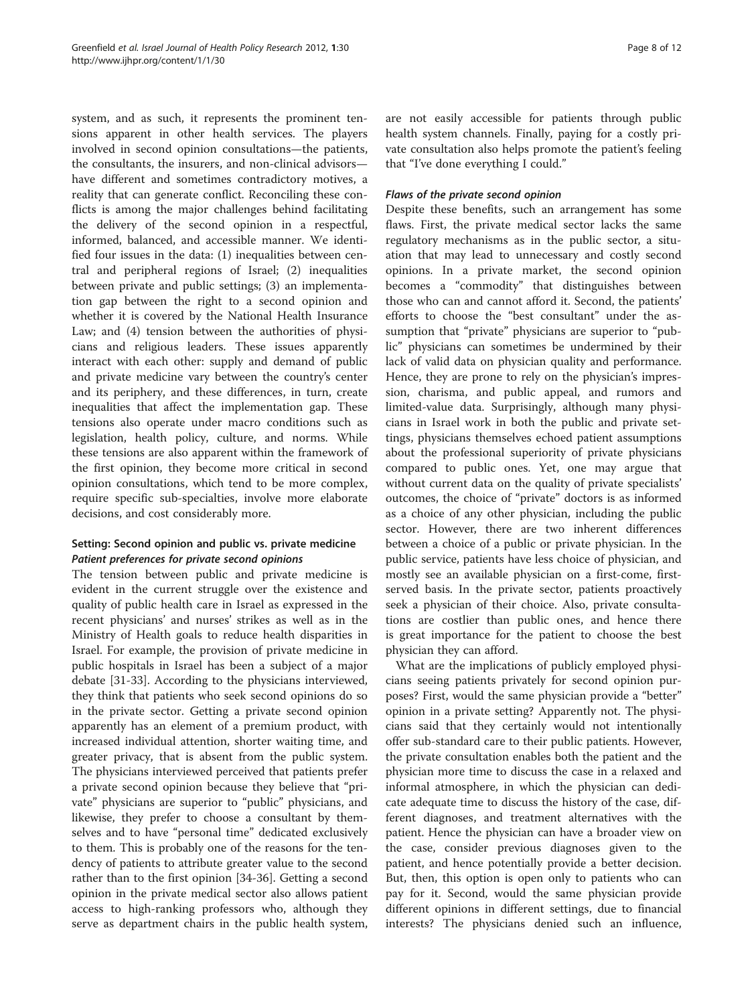system, and as such, it represents the prominent tensions apparent in other health services. The players involved in second opinion consultations—the patients, the consultants, the insurers, and non-clinical advisors have different and sometimes contradictory motives, a reality that can generate conflict. Reconciling these conflicts is among the major challenges behind facilitating the delivery of the second opinion in a respectful, informed, balanced, and accessible manner. We identified four issues in the data: (1) inequalities between central and peripheral regions of Israel; (2) inequalities between private and public settings; (3) an implementation gap between the right to a second opinion and whether it is covered by the National Health Insurance Law; and (4) tension between the authorities of physicians and religious leaders. These issues apparently interact with each other: supply and demand of public and private medicine vary between the country's center and its periphery, and these differences, in turn, create inequalities that affect the implementation gap. These tensions also operate under macro conditions such as legislation, health policy, culture, and norms. While these tensions are also apparent within the framework of the first opinion, they become more critical in second opinion consultations, which tend to be more complex, require specific sub-specialties, involve more elaborate decisions, and cost considerably more.

## Setting: Second opinion and public vs. private medicine Patient preferences for private second opinions

The tension between public and private medicine is evident in the current struggle over the existence and quality of public health care in Israel as expressed in the recent physicians' and nurses' strikes as well as in the Ministry of Health goals to reduce health disparities in Israel. For example, the provision of private medicine in public hospitals in Israel has been a subject of a major debate [[31-33](#page-11-0)]. According to the physicians interviewed, they think that patients who seek second opinions do so in the private sector. Getting a private second opinion apparently has an element of a premium product, with increased individual attention, shorter waiting time, and greater privacy, that is absent from the public system. The physicians interviewed perceived that patients prefer a private second opinion because they believe that "private" physicians are superior to "public" physicians, and likewise, they prefer to choose a consultant by themselves and to have "personal time" dedicated exclusively to them. This is probably one of the reasons for the tendency of patients to attribute greater value to the second rather than to the first opinion [\[34](#page-11-0)-[36\]](#page-11-0). Getting a second opinion in the private medical sector also allows patient access to high-ranking professors who, although they serve as department chairs in the public health system,

are not easily accessible for patients through public health system channels. Finally, paying for a costly private consultation also helps promote the patient's feeling that "I've done everything I could."

## Flaws of the private second opinion

Despite these benefits, such an arrangement has some flaws. First, the private medical sector lacks the same regulatory mechanisms as in the public sector, a situation that may lead to unnecessary and costly second opinions. In a private market, the second opinion becomes a "commodity" that distinguishes between those who can and cannot afford it. Second, the patients' efforts to choose the "best consultant" under the assumption that "private" physicians are superior to "public" physicians can sometimes be undermined by their lack of valid data on physician quality and performance. Hence, they are prone to rely on the physician's impression, charisma, and public appeal, and rumors and limited-value data. Surprisingly, although many physicians in Israel work in both the public and private settings, physicians themselves echoed patient assumptions about the professional superiority of private physicians compared to public ones. Yet, one may argue that without current data on the quality of private specialists' outcomes, the choice of "private" doctors is as informed as a choice of any other physician, including the public sector. However, there are two inherent differences between a choice of a public or private physician. In the public service, patients have less choice of physician, and mostly see an available physician on a first-come, firstserved basis. In the private sector, patients proactively seek a physician of their choice. Also, private consultations are costlier than public ones, and hence there is great importance for the patient to choose the best physician they can afford.

What are the implications of publicly employed physicians seeing patients privately for second opinion purposes? First, would the same physician provide a "better" opinion in a private setting? Apparently not. The physicians said that they certainly would not intentionally offer sub-standard care to their public patients. However, the private consultation enables both the patient and the physician more time to discuss the case in a relaxed and informal atmosphere, in which the physician can dedicate adequate time to discuss the history of the case, different diagnoses, and treatment alternatives with the patient. Hence the physician can have a broader view on the case, consider previous diagnoses given to the patient, and hence potentially provide a better decision. But, then, this option is open only to patients who can pay for it. Second, would the same physician provide different opinions in different settings, due to financial interests? The physicians denied such an influence,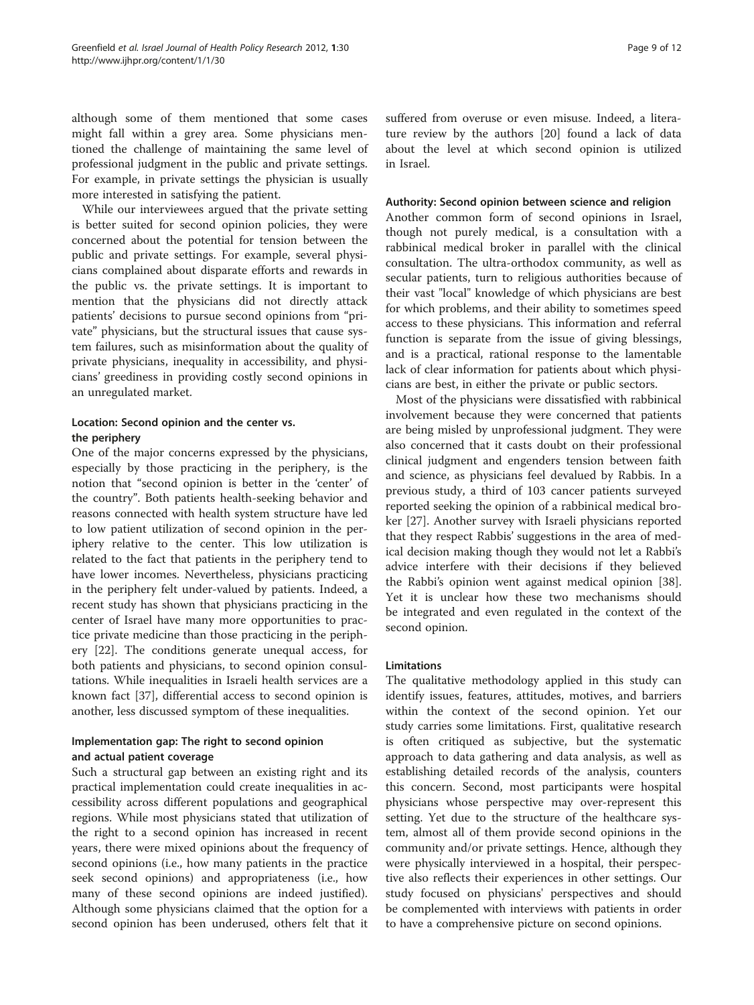although some of them mentioned that some cases might fall within a grey area. Some physicians mentioned the challenge of maintaining the same level of professional judgment in the public and private settings. For example, in private settings the physician is usually more interested in satisfying the patient.

While our interviewees argued that the private setting is better suited for second opinion policies, they were concerned about the potential for tension between the public and private settings. For example, several physicians complained about disparate efforts and rewards in the public vs. the private settings. It is important to mention that the physicians did not directly attack patients' decisions to pursue second opinions from "private" physicians, but the structural issues that cause system failures, such as misinformation about the quality of private physicians, inequality in accessibility, and physicians' greediness in providing costly second opinions in an unregulated market.

## Location: Second opinion and the center vs. the periphery

One of the major concerns expressed by the physicians, especially by those practicing in the periphery, is the notion that "second opinion is better in the 'center' of the country". Both patients health-seeking behavior and reasons connected with health system structure have led to low patient utilization of second opinion in the periphery relative to the center. This low utilization is related to the fact that patients in the periphery tend to have lower incomes. Nevertheless, physicians practicing in the periphery felt under-valued by patients. Indeed, a recent study has shown that physicians practicing in the center of Israel have many more opportunities to practice private medicine than those practicing in the periphery [[22\]](#page-11-0). The conditions generate unequal access, for both patients and physicians, to second opinion consultations. While inequalities in Israeli health services are a known fact [[37\]](#page-11-0), differential access to second opinion is another, less discussed symptom of these inequalities.

## Implementation gap: The right to second opinion and actual patient coverage

Such a structural gap between an existing right and its practical implementation could create inequalities in accessibility across different populations and geographical regions. While most physicians stated that utilization of the right to a second opinion has increased in recent years, there were mixed opinions about the frequency of second opinions (i.e., how many patients in the practice seek second opinions) and appropriateness (i.e., how many of these second opinions are indeed justified). Although some physicians claimed that the option for a second opinion has been underused, others felt that it

suffered from overuse or even misuse. Indeed, a literature review by the authors [[20\]](#page-11-0) found a lack of data about the level at which second opinion is utilized in Israel.

#### Authority: Second opinion between science and religion

Another common form of second opinions in Israel, though not purely medical, is a consultation with a rabbinical medical broker in parallel with the clinical consultation. The ultra-orthodox community, as well as secular patients, turn to religious authorities because of their vast "local" knowledge of which physicians are best for which problems, and their ability to sometimes speed access to these physicians. This information and referral function is separate from the issue of giving blessings, and is a practical, rational response to the lamentable lack of clear information for patients about which physicians are best, in either the private or public sectors.

Most of the physicians were dissatisfied with rabbinical involvement because they were concerned that patients are being misled by unprofessional judgment. They were also concerned that it casts doubt on their professional clinical judgment and engenders tension between faith and science, as physicians feel devalued by Rabbis. In a previous study, a third of 103 cancer patients surveyed reported seeking the opinion of a rabbinical medical broker [\[27\]](#page-11-0). Another survey with Israeli physicians reported that they respect Rabbis' suggestions in the area of medical decision making though they would not let a Rabbi's advice interfere with their decisions if they believed the Rabbi's opinion went against medical opinion [\[38](#page-11-0)]. Yet it is unclear how these two mechanisms should be integrated and even regulated in the context of the second opinion.

## Limitations

The qualitative methodology applied in this study can identify issues, features, attitudes, motives, and barriers within the context of the second opinion. Yet our study carries some limitations. First, qualitative research is often critiqued as subjective, but the systematic approach to data gathering and data analysis, as well as establishing detailed records of the analysis, counters this concern. Second, most participants were hospital physicians whose perspective may over-represent this setting. Yet due to the structure of the healthcare system, almost all of them provide second opinions in the community and/or private settings. Hence, although they were physically interviewed in a hospital, their perspective also reflects their experiences in other settings. Our study focused on physicians' perspectives and should be complemented with interviews with patients in order to have a comprehensive picture on second opinions.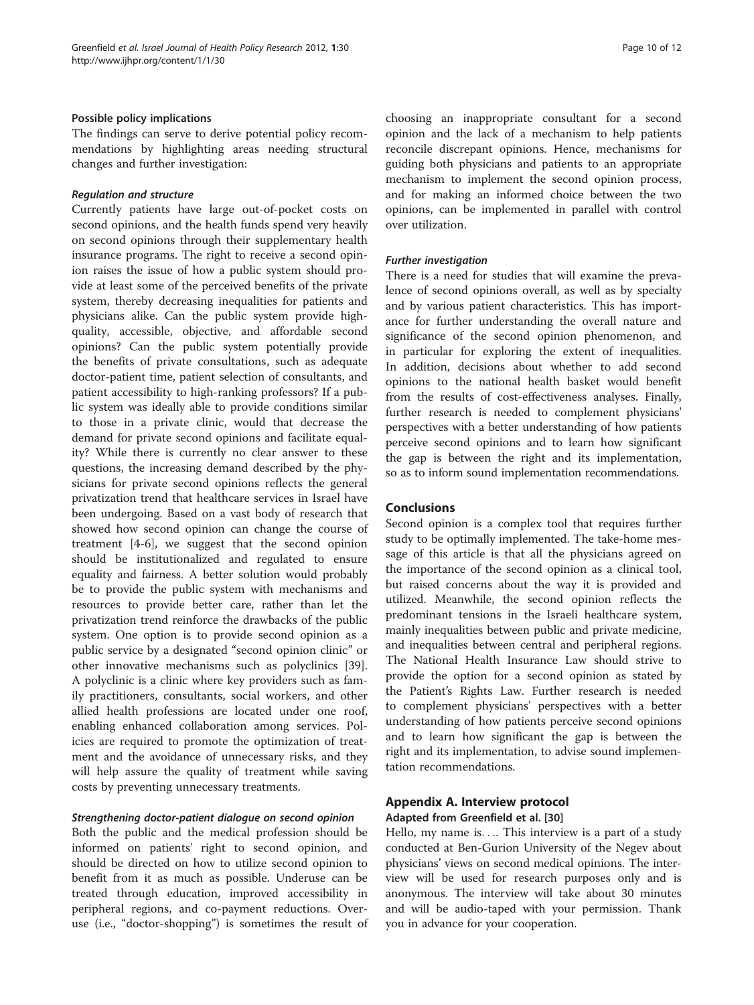#### Possible policy implications

The findings can serve to derive potential policy recommendations by highlighting areas needing structural changes and further investigation:

#### Regulation and structure

Currently patients have large out-of-pocket costs on second opinions, and the health funds spend very heavily on second opinions through their supplementary health insurance programs. The right to receive a second opinion raises the issue of how a public system should provide at least some of the perceived benefits of the private system, thereby decreasing inequalities for patients and physicians alike. Can the public system provide highquality, accessible, objective, and affordable second opinions? Can the public system potentially provide the benefits of private consultations, such as adequate doctor-patient time, patient selection of consultants, and patient accessibility to high-ranking professors? If a public system was ideally able to provide conditions similar to those in a private clinic, would that decrease the demand for private second opinions and facilitate equality? While there is currently no clear answer to these questions, the increasing demand described by the physicians for private second opinions reflects the general privatization trend that healthcare services in Israel have been undergoing. Based on a vast body of research that showed how second opinion can change the course of treatment [[4-6](#page-11-0)], we suggest that the second opinion should be institutionalized and regulated to ensure equality and fairness. A better solution would probably be to provide the public system with mechanisms and resources to provide better care, rather than let the privatization trend reinforce the drawbacks of the public system. One option is to provide second opinion as a public service by a designated "second opinion clinic" or other innovative mechanisms such as polyclinics [\[39](#page-11-0)]. A polyclinic is a clinic where key providers such as family practitioners, consultants, social workers, and other allied health professions are located under one roof, enabling enhanced collaboration among services. Policies are required to promote the optimization of treatment and the avoidance of unnecessary risks, and they will help assure the quality of treatment while saving costs by preventing unnecessary treatments.

## Strengthening doctor-patient dialogue on second opinion

Both the public and the medical profession should be informed on patients' right to second opinion, and should be directed on how to utilize second opinion to benefit from it as much as possible. Underuse can be treated through education, improved accessibility in peripheral regions, and co-payment reductions. Overuse (i.e., "doctor-shopping") is sometimes the result of choosing an inappropriate consultant for a second opinion and the lack of a mechanism to help patients reconcile discrepant opinions. Hence, mechanisms for guiding both physicians and patients to an appropriate mechanism to implement the second opinion process, and for making an informed choice between the two opinions, can be implemented in parallel with control over utilization.

#### Further investigation

There is a need for studies that will examine the prevalence of second opinions overall, as well as by specialty and by various patient characteristics. This has importance for further understanding the overall nature and significance of the second opinion phenomenon, and in particular for exploring the extent of inequalities. In addition, decisions about whether to add second opinions to the national health basket would benefit from the results of cost-effectiveness analyses. Finally, further research is needed to complement physicians' perspectives with a better understanding of how patients perceive second opinions and to learn how significant the gap is between the right and its implementation, so as to inform sound implementation recommendations.

#### Conclusions

Second opinion is a complex tool that requires further study to be optimally implemented. The take-home message of this article is that all the physicians agreed on the importance of the second opinion as a clinical tool, but raised concerns about the way it is provided and utilized. Meanwhile, the second opinion reflects the predominant tensions in the Israeli healthcare system, mainly inequalities between public and private medicine, and inequalities between central and peripheral regions. The National Health Insurance Law should strive to provide the option for a second opinion as stated by the Patient's Rights Law. Further research is needed to complement physicians' perspectives with a better understanding of how patients perceive second opinions and to learn how significant the gap is between the right and its implementation, to advise sound implementation recommendations.

## Appendix A. Interview protocol Adapted from Greenfield et al. [[30\]](#page-11-0)

Hello, my name is.... This interview is a part of a study conducted at Ben-Gurion University of the Negev about physicians' views on second medical opinions. The interview will be used for research purposes only and is anonymous. The interview will take about 30 minutes and will be audio-taped with your permission. Thank you in advance for your cooperation.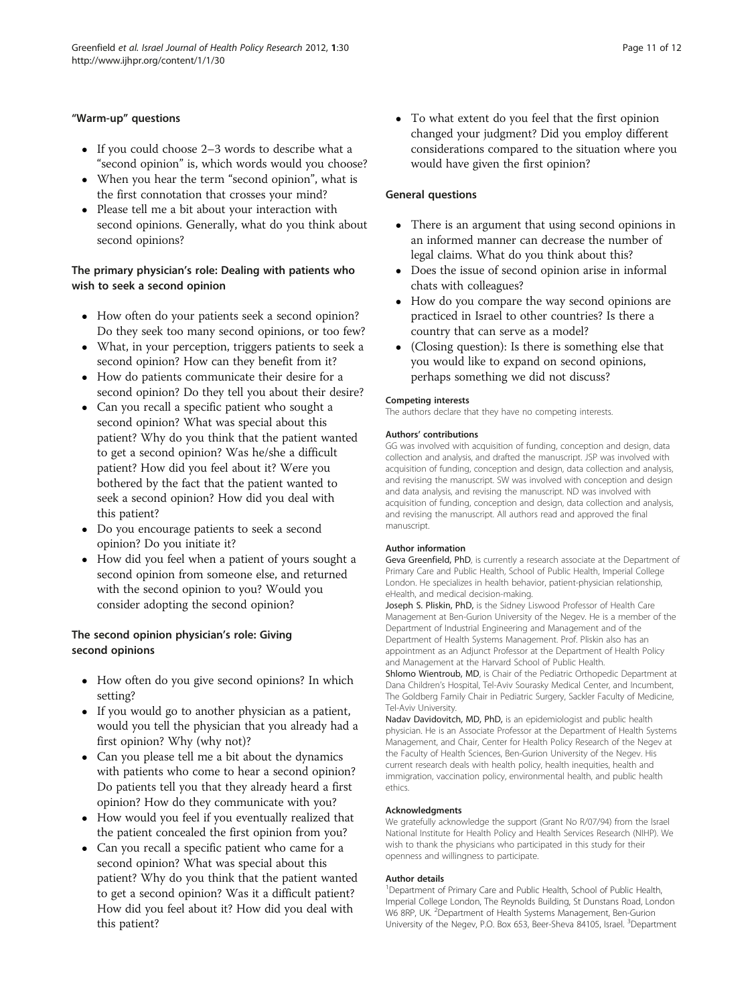## "Warm-up" questions

- If you could choose 2–3 words to describe what a "second opinion" is, which words would you choose?
- When you hear the term "second opinion", what is the first connotation that crosses your mind?
- Please tell me a bit about your interaction with second opinions. Generally, what do you think about second opinions?

## The primary physician's role: Dealing with patients who wish to seek a second opinion

- How often do your patients seek a second opinion? Do they seek too many second opinions, or too few?
- What, in your perception, triggers patients to seek a second opinion? How can they benefit from it?
- How do patients communicate their desire for a second opinion? Do they tell you about their desire?
- Can you recall a specific patient who sought a second opinion? What was special about this patient? Why do you think that the patient wanted to get a second opinion? Was he/she a difficult patient? How did you feel about it? Were you bothered by the fact that the patient wanted to seek a second opinion? How did you deal with this patient?
- Do you encourage patients to seek a second opinion? Do you initiate it?
- How did you feel when a patient of yours sought a second opinion from someone else, and returned with the second opinion to you? Would you consider adopting the second opinion?

## The second opinion physician's role: Giving second opinions

- How often do you give second opinions? In which setting?
- If you would go to another physician as a patient, would you tell the physician that you already had a first opinion? Why (why not)?
- Can you please tell me a bit about the dynamics with patients who come to hear a second opinion? Do patients tell you that they already heard a first opinion? How do they communicate with you?
- How would you feel if you eventually realized that the patient concealed the first opinion from you?
- Can you recall a specific patient who came for a second opinion? What was special about this patient? Why do you think that the patient wanted to get a second opinion? Was it a difficult patient? How did you feel about it? How did you deal with this patient?

 To what extent do you feel that the first opinion changed your judgment? Did you employ different considerations compared to the situation where you would have given the first opinion?

## General questions

- There is an argument that using second opinions in an informed manner can decrease the number of legal claims. What do you think about this?
- Does the issue of second opinion arise in informal chats with colleagues?
- How do you compare the way second opinions are practiced in Israel to other countries? Is there a country that can serve as a model?
- (Closing question): Is there is something else that you would like to expand on second opinions, perhaps something we did not discuss?

#### Competing interests

The authors declare that they have no competing interests.

#### Authors' contributions

GG was involved with acquisition of funding, conception and design, data collection and analysis, and drafted the manuscript. JSP was involved with acquisition of funding, conception and design, data collection and analysis, and revising the manuscript. SW was involved with conception and design and data analysis, and revising the manuscript. ND was involved with acquisition of funding, conception and design, data collection and analysis, and revising the manuscript. All authors read and approved the final manuscript.

#### Author information

Geva Greenfield, PhD, is currently a research associate at the Department of Primary Care and Public Health, School of Public Health, Imperial College London. He specializes in health behavior, patient-physician relationship, eHealth, and medical decision-making.

Joseph S. Pliskin, PhD, is the Sidney Liswood Professor of Health Care Management at Ben-Gurion University of the Negev. He is a member of the Department of Industrial Engineering and Management and of the Department of Health Systems Management. Prof. Pliskin also has an appointment as an Adjunct Professor at the Department of Health Policy and Management at the Harvard School of Public Health.

Shlomo Wientroub, MD, is Chair of the Pediatric Orthopedic Department at Dana Children's Hospital, Tel-Aviv Sourasky Medical Center, and Incumbent, The Goldberg Family Chair in Pediatric Surgery, Sackler Faculty of Medicine, Tel-Aviv University.

Nadav Davidovitch, MD, PhD, is an epidemiologist and public health physician. He is an Associate Professor at the Department of Health Systems Management, and Chair, Center for Health Policy Research of the Negev at the Faculty of Health Sciences, Ben-Gurion University of the Negev. His current research deals with health policy, health inequities, health and immigration, vaccination policy, environmental health, and public health ethics.

#### Acknowledgments

We gratefully acknowledge the support (Grant No R/07/94) from the Israel National Institute for Health Policy and Health Services Research (NIHP). We wish to thank the physicians who participated in this study for their openness and willingness to participate.

#### Author details

<sup>1</sup>Department of Primary Care and Public Health, School of Public Health, Imperial College London, The Reynolds Building, St Dunstans Road, London W6 8RP, UK. <sup>2</sup>Department of Health Systems Management, Ben-Gurion University of the Negev, P.O. Box 653, Beer-Sheva 84105, Israel. <sup>3</sup>Department